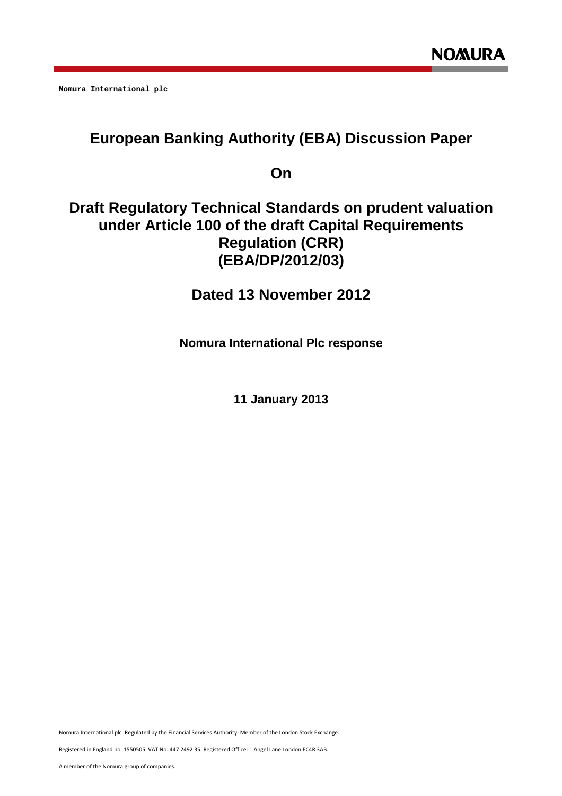**Nomura International plc** 

# **European Banking Authority (EBA) Discussion Paper**

**On** 

## **Draft Regulatory Technical Standards on prudent valuation under Article 100 of the draft Capital Requirements Regulation (CRR) (EBA/DP/2012/03)**

**Dated 13 November 2012** 

**Nomura International Plc response** 

**11 January 2013** 

Nomura International plc. Regulated by the Financial Services Authority. Member of the London Stock Exchange.

Registered in England no. 1550505 VAT No. 447 2492 35. Registered Office: 1 Angel Lane London EC4R 3AB.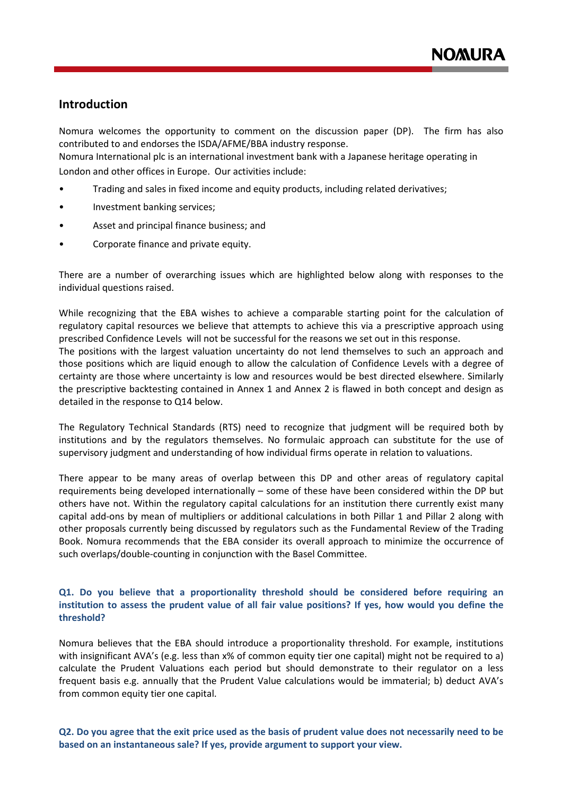## **Introduction**

Nomura welcomes the opportunity to comment on the discussion paper (DP). The firm has also contributed to and endorses the ISDA/AFME/BBA industry response.

Nomura International plc is an international investment bank with a Japanese heritage operating in London and other offices in Europe. Our activities include:

- Trading and sales in fixed income and equity products, including related derivatives;
- Investment banking services;
- Asset and principal finance business; and
- Corporate finance and private equity.

There are a number of overarching issues which are highlighted below along with responses to the individual questions raised.

While recognizing that the EBA wishes to achieve a comparable starting point for the calculation of regulatory capital resources we believe that attempts to achieve this via a prescriptive approach using prescribed Confidence Levels will not be successful for the reasons we set out in this response. The positions with the largest valuation uncertainty do not lend themselves to such an approach and those positions which are liquid enough to allow the calculation of Confidence Levels with a degree of certainty are those where uncertainty is low and resources would be best directed elsewhere. Similarly the prescriptive backtesting contained in Annex 1 and Annex 2 is flawed in both concept and design as detailed in the response to Q14 below.

The Regulatory Technical Standards (RTS) need to recognize that judgment will be required both by institutions and by the regulators themselves. No formulaic approach can substitute for the use of supervisory judgment and understanding of how individual firms operate in relation to valuations.

There appear to be many areas of overlap between this DP and other areas of regulatory capital requirements being developed internationally – some of these have been considered within the DP but others have not. Within the regulatory capital calculations for an institution there currently exist many capital add-ons by mean of multipliers or additional calculations in both Pillar 1 and Pillar 2 along with other proposals currently being discussed by regulators such as the Fundamental Review of the Trading Book. Nomura recommends that the EBA consider its overall approach to minimize the occurrence of such overlaps/double-counting in conjunction with the Basel Committee.

## **Q1. Do you believe that a proportionality threshold should be considered before requiring an institution to assess the prudent value of all fair value positions? If yes, how would you define the threshold?**

Nomura believes that the EBA should introduce a proportionality threshold. For example, institutions with insignificant AVA's (e.g. less than x% of common equity tier one capital) might not be required to a) calculate the Prudent Valuations each period but should demonstrate to their regulator on a less frequent basis e.g. annually that the Prudent Value calculations would be immaterial; b) deduct AVA's from common equity tier one capital.

**Q2. Do you agree that the exit price used as the basis of prudent value does not necessarily need to be based on an instantaneous sale? If yes, provide argument to support your view.**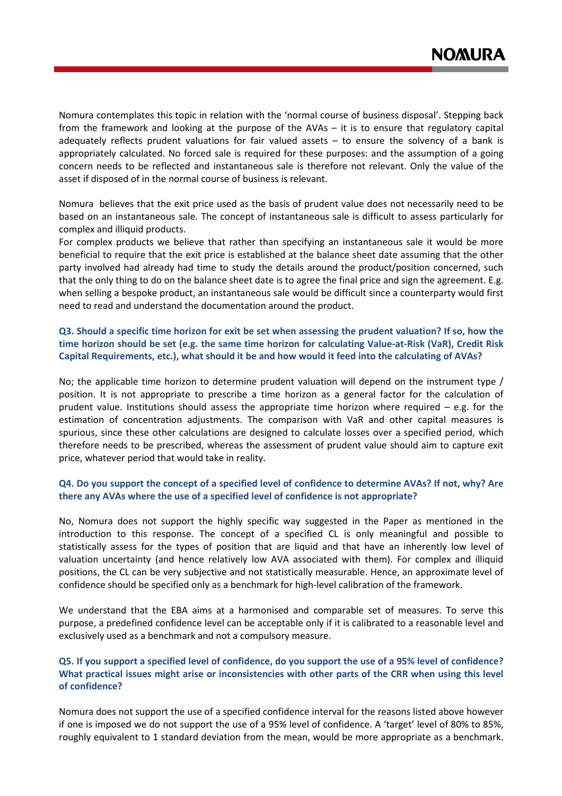Nomura contemplates this topic in relation with the 'normal course of business disposal'. Stepping back from the framework and looking at the purpose of the AVAs – it is to ensure that regulatory capital adequately reflects prudent valuations for fair valued assets  $-$  to ensure the solvency of a bank is appropriately calculated. No forced sale is required for these purposes: and the assumption of a going concern needs to be reflected and instantaneous sale is therefore not relevant. Only the value of the asset if disposed of in the normal course of business is relevant.

Nomura believes that the exit price used as the basis of prudent value does not necessarily need to be based on an instantaneous sale. The concept of instantaneous sale is difficult to assess particularly for complex and illiquid products.

For complex products we believe that rather than specifying an instantaneous sale it would be more beneficial to require that the exit price is established at the balance sheet date assuming that the other party involved had already had time to study the details around the product/position concerned, such that the only thing to do on the balance sheet date is to agree the final price and sign the agreement. E.g. when selling a bespoke product, an instantaneous sale would be difficult since a counterparty would first need to read and understand the documentation around the product.

## **Q3. Should a specific time horizon for exit be set when assessing the prudent valuation? If so, how the time horizon should be set (e.g. the same time horizon for calculating Value-at-Risk (VaR), Credit Risk Capital Requirements, etc.), what should it be and how would it feed into the calculating of AVAs?**

No; the applicable time horizon to determine prudent valuation will depend on the instrument type / position. It is not appropriate to prescribe a time horizon as a general factor for the calculation of prudent value. Institutions should assess the appropriate time horizon where required  $-$  e.g. for the estimation of concentration adjustments. The comparison with VaR and other capital measures is spurious, since these other calculations are designed to calculate losses over a specified period, which therefore needs to be prescribed, whereas the assessment of prudent value should aim to capture exit price, whatever period that would take in reality.

## **Q4. Do you support the concept of a specified level of confidence to determine AVAs? If not, why? Are there any AVAs where the use of a specified level of confidence is not appropriate?**

No, Nomura does not support the highly specific way suggested in the Paper as mentioned in the introduction to this response. The concept of a specified CL is only meaningful and possible to statistically assess for the types of position that are liquid and that have an inherently low level of valuation uncertainty (and hence relatively low AVA associated with them). For complex and illiquid positions, the CL can be very subjective and not statistically measurable. Hence, an approximate level of confidence should be specified only as a benchmark for high-level calibration of the framework.

We understand that the EBA aims at a harmonised and comparable set of measures. To serve this purpose, a predefined confidence level can be acceptable only if it is calibrated to a reasonable level and exclusively used as a benchmark and not a compulsory measure.

## **Q5. If you support a specified level of confidence, do you support the use of a 95% level of confidence? What practical issues might arise or inconsistencies with other parts of the CRR when using this level of confidence?**

Nomura does not support the use of a specified confidence interval for the reasons listed above however if one is imposed we do not support the use of a 95% level of confidence. A 'target' level of 80% to 85%, roughly equivalent to 1 standard deviation from the mean, would be more appropriate as a benchmark.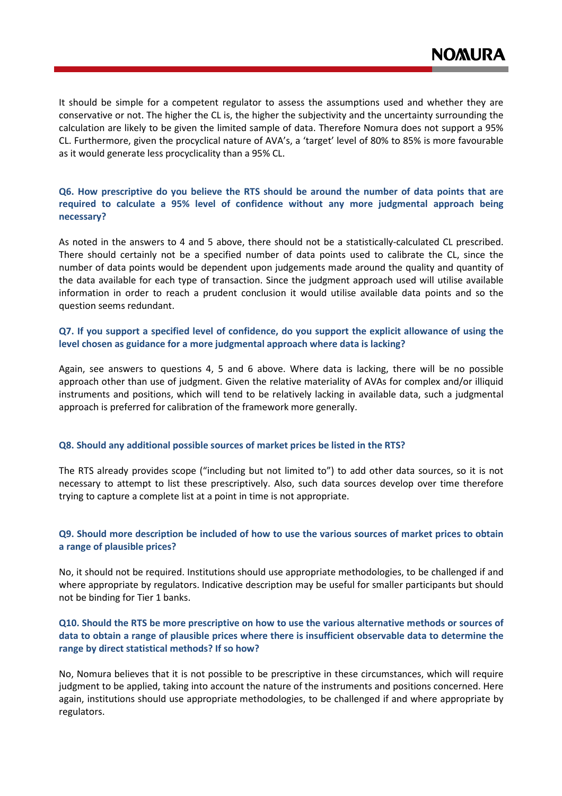It should be simple for a competent regulator to assess the assumptions used and whether they are conservative or not. The higher the CL is, the higher the subjectivity and the uncertainty surrounding the calculation are likely to be given the limited sample of data. Therefore Nomura does not support a 95% CL. Furthermore, given the procyclical nature of AVA's, a 'target' level of 80% to 85% is more favourable as it would generate less procyclicality than a 95% CL.

## **Q6. How prescriptive do you believe the RTS should be around the number of data points that are required to calculate a 95% level of confidence without any more judgmental approach being necessary?**

As noted in the answers to 4 and 5 above, there should not be a statistically-calculated CL prescribed. There should certainly not be a specified number of data points used to calibrate the CL, since the number of data points would be dependent upon judgements made around the quality and quantity of the data available for each type of transaction. Since the judgment approach used will utilise available information in order to reach a prudent conclusion it would utilise available data points and so the question seems redundant.

## **Q7. If you support a specified level of confidence, do you support the explicit allowance of using the level chosen as guidance for a more judgmental approach where data is lacking?**

Again, see answers to questions 4, 5 and 6 above. Where data is lacking, there will be no possible approach other than use of judgment. Given the relative materiality of AVAs for complex and/or illiquid instruments and positions, which will tend to be relatively lacking in available data, such a judgmental approach is preferred for calibration of the framework more generally.

### **Q8. Should any additional possible sources of market prices be listed in the RTS?**

The RTS already provides scope ("including but not limited to") to add other data sources, so it is not necessary to attempt to list these prescriptively. Also, such data sources develop over time therefore trying to capture a complete list at a point in time is not appropriate.

## **Q9. Should more description be included of how to use the various sources of market prices to obtain a range of plausible prices?**

No, it should not be required. Institutions should use appropriate methodologies, to be challenged if and where appropriate by regulators. Indicative description may be useful for smaller participants but should not be binding for Tier 1 banks.

## **Q10. Should the RTS be more prescriptive on how to use the various alternative methods or sources of data to obtain a range of plausible prices where there is insufficient observable data to determine the range by direct statistical methods? If so how?**

No, Nomura believes that it is not possible to be prescriptive in these circumstances, which will require judgment to be applied, taking into account the nature of the instruments and positions concerned. Here again, institutions should use appropriate methodologies, to be challenged if and where appropriate by regulators.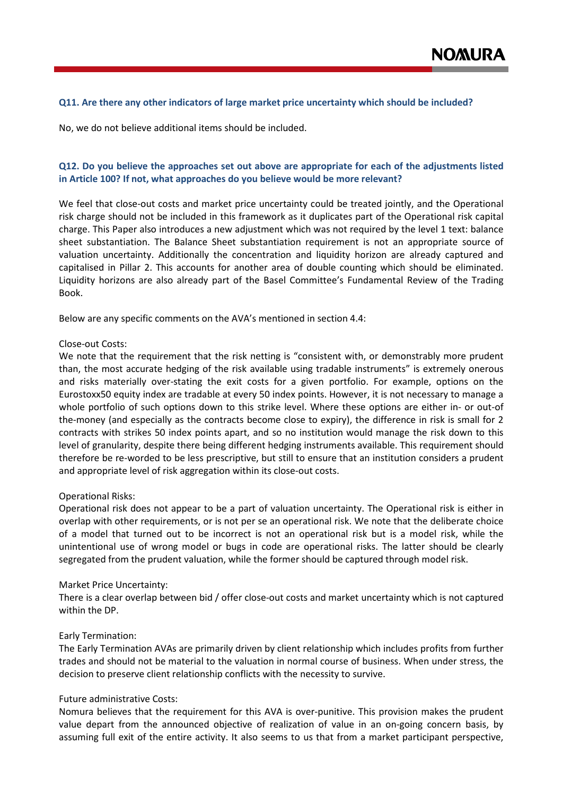#### **Q11. Are there any other indicators of large market price uncertainty which should be included?**

No, we do not believe additional items should be included.

## **Q12. Do you believe the approaches set out above are appropriate for each of the adjustments listed in Article 100? If not, what approaches do you believe would be more relevant?**

We feel that close-out costs and market price uncertainty could be treated jointly, and the Operational risk charge should not be included in this framework as it duplicates part of the Operational risk capital charge. This Paper also introduces a new adjustment which was not required by the level 1 text: balance sheet substantiation. The Balance Sheet substantiation requirement is not an appropriate source of valuation uncertainty. Additionally the concentration and liquidity horizon are already captured and capitalised in Pillar 2. This accounts for another area of double counting which should be eliminated. Liquidity horizons are also already part of the Basel Committee's Fundamental Review of the Trading Book.

Below are any specific comments on the AVA's mentioned in section 4.4:

#### Close-out Costs:

We note that the requirement that the risk netting is "consistent with, or demonstrably more prudent than, the most accurate hedging of the risk available using tradable instruments" is extremely onerous and risks materially over-stating the exit costs for a given portfolio. For example, options on the Eurostoxx50 equity index are tradable at every 50 index points. However, it is not necessary to manage a whole portfolio of such options down to this strike level. Where these options are either in- or out-of the-money (and especially as the contracts become close to expiry), the difference in risk is small for 2 contracts with strikes 50 index points apart, and so no institution would manage the risk down to this level of granularity, despite there being different hedging instruments available. This requirement should therefore be re-worded to be less prescriptive, but still to ensure that an institution considers a prudent and appropriate level of risk aggregation within its close-out costs.

#### Operational Risks:

Operational risk does not appear to be a part of valuation uncertainty. The Operational risk is either in overlap with other requirements, or is not per se an operational risk. We note that the deliberate choice of a model that turned out to be incorrect is not an operational risk but is a model risk, while the unintentional use of wrong model or bugs in code are operational risks. The latter should be clearly segregated from the prudent valuation, while the former should be captured through model risk.

#### Market Price Uncertainty:

There is a clear overlap between bid / offer close-out costs and market uncertainty which is not captured within the DP.

#### Early Termination:

The Early Termination AVAs are primarily driven by client relationship which includes profits from further trades and should not be material to the valuation in normal course of business. When under stress, the decision to preserve client relationship conflicts with the necessity to survive.

#### Future administrative Costs:

Nomura believes that the requirement for this AVA is over-punitive. This provision makes the prudent value depart from the announced objective of realization of value in an on-going concern basis, by assuming full exit of the entire activity. It also seems to us that from a market participant perspective,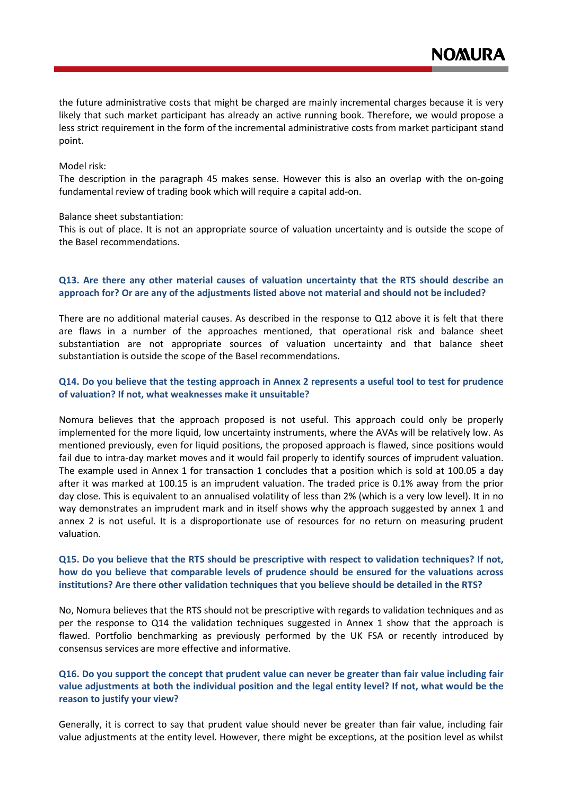the future administrative costs that might be charged are mainly incremental charges because it is very likely that such market participant has already an active running book. Therefore, we would propose a less strict requirement in the form of the incremental administrative costs from market participant stand point.

#### Model risk:

The description in the paragraph 45 makes sense. However this is also an overlap with the on-going fundamental review of trading book which will require a capital add-on.

#### Balance sheet substantiation:

This is out of place. It is not an appropriate source of valuation uncertainty and is outside the scope of the Basel recommendations.

## **Q13. Are there any other material causes of valuation uncertainty that the RTS should describe an approach for? Or are any of the adjustments listed above not material and should not be included?**

There are no additional material causes. As described in the response to Q12 above it is felt that there are flaws in a number of the approaches mentioned, that operational risk and balance sheet substantiation are not appropriate sources of valuation uncertainty and that balance sheet substantiation is outside the scope of the Basel recommendations.

## **Q14. Do you believe that the testing approach in Annex 2 represents a useful tool to test for prudence of valuation? If not, what weaknesses make it unsuitable?**

Nomura believes that the approach proposed is not useful. This approach could only be properly implemented for the more liquid, low uncertainty instruments, where the AVAs will be relatively low. As mentioned previously, even for liquid positions, the proposed approach is flawed, since positions would fail due to intra-day market moves and it would fail properly to identify sources of imprudent valuation. The example used in Annex 1 for transaction 1 concludes that a position which is sold at 100.05 a day after it was marked at 100.15 is an imprudent valuation. The traded price is 0.1% away from the prior day close. This is equivalent to an annualised volatility of less than 2% (which is a very low level). It in no way demonstrates an imprudent mark and in itself shows why the approach suggested by annex 1 and annex 2 is not useful. It is a disproportionate use of resources for no return on measuring prudent valuation.

## **Q15. Do you believe that the RTS should be prescriptive with respect to validation techniques? If not, how do you believe that comparable levels of prudence should be ensured for the valuations across institutions? Are there other validation techniques that you believe should be detailed in the RTS?**

No, Nomura believes that the RTS should not be prescriptive with regards to validation techniques and as per the response to Q14 the validation techniques suggested in Annex 1 show that the approach is flawed. Portfolio benchmarking as previously performed by the UK FSA or recently introduced by consensus services are more effective and informative.

## **Q16. Do you support the concept that prudent value can never be greater than fair value including fair value adjustments at both the individual position and the legal entity level? If not, what would be the reason to justify your view?**

Generally, it is correct to say that prudent value should never be greater than fair value, including fair value adjustments at the entity level. However, there might be exceptions, at the position level as whilst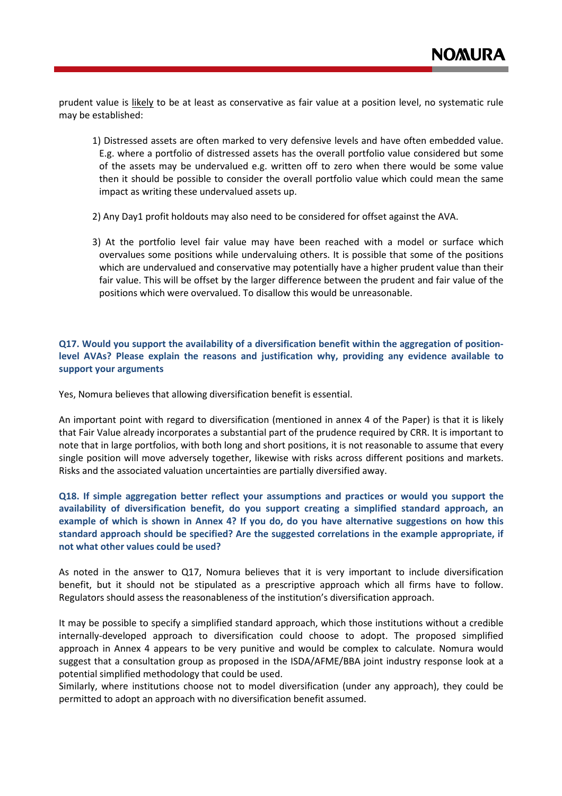prudent value is likely to be at least as conservative as fair value at a position level, no systematic rule may be established:

- 1) Distressed assets are often marked to very defensive levels and have often embedded value. E.g. where a portfolio of distressed assets has the overall portfolio value considered but some of the assets may be undervalued e.g. written off to zero when there would be some value then it should be possible to consider the overall portfolio value which could mean the same impact as writing these undervalued assets up.
- 2) Any Day1 profit holdouts may also need to be considered for offset against the AVA.
- 3) At the portfolio level fair value may have been reached with a model or surface which overvalues some positions while undervaluing others. It is possible that some of the positions which are undervalued and conservative may potentially have a higher prudent value than their fair value. This will be offset by the larger difference between the prudent and fair value of the positions which were overvalued. To disallow this would be unreasonable.

## **Q17. Would you support the availability of a diversification benefit within the aggregation of positionlevel AVAs? Please explain the reasons and justification why, providing any evidence available to support your arguments**

Yes, Nomura believes that allowing diversification benefit is essential.

An important point with regard to diversification (mentioned in annex 4 of the Paper) is that it is likely that Fair Value already incorporates a substantial part of the prudence required by CRR. It is important to note that in large portfolios, with both long and short positions, it is not reasonable to assume that every single position will move adversely together, likewise with risks across different positions and markets. Risks and the associated valuation uncertainties are partially diversified away.

**Q18. If simple aggregation better reflect your assumptions and practices or would you support the availability of diversification benefit, do you support creating a simplified standard approach, an example of which is shown in Annex 4? If you do, do you have alternative suggestions on how this standard approach should be specified? Are the suggested correlations in the example appropriate, if not what other values could be used?** 

As noted in the answer to Q17, Nomura believes that it is very important to include diversification benefit, but it should not be stipulated as a prescriptive approach which all firms have to follow. Regulators should assess the reasonableness of the institution's diversification approach.

It may be possible to specify a simplified standard approach, which those institutions without a credible internally-developed approach to diversification could choose to adopt. The proposed simplified approach in Annex 4 appears to be very punitive and would be complex to calculate. Nomura would suggest that a consultation group as proposed in the ISDA/AFME/BBA joint industry response look at a potential simplified methodology that could be used.

Similarly, where institutions choose not to model diversification (under any approach), they could be permitted to adopt an approach with no diversification benefit assumed.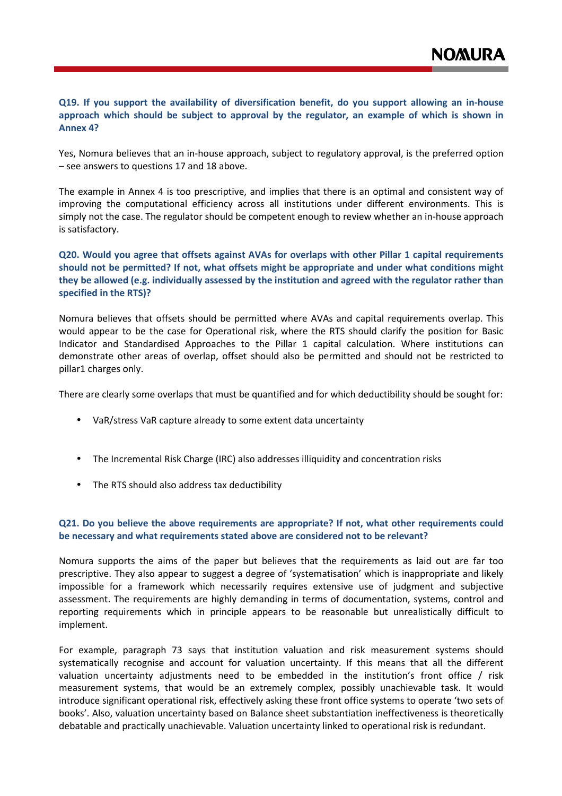## **Q19. If you support the availability of diversification benefit, do you support allowing an in-house approach which should be subject to approval by the regulator, an example of which is shown in Annex 4?**

Yes, Nomura believes that an in-house approach, subject to regulatory approval, is the preferred option – see answers to questions 17 and 18 above.

The example in Annex 4 is too prescriptive, and implies that there is an optimal and consistent way of improving the computational efficiency across all institutions under different environments. This is simply not the case. The regulator should be competent enough to review whether an in-house approach is satisfactory.

## **Q20. Would you agree that offsets against AVAs for overlaps with other Pillar 1 capital requirements should not be permitted? If not, what offsets might be appropriate and under what conditions might they be allowed (e.g. individually assessed by the institution and agreed with the regulator rather than specified in the RTS)?**

Nomura believes that offsets should be permitted where AVAs and capital requirements overlap. This would appear to be the case for Operational risk, where the RTS should clarify the position for Basic Indicator and Standardised Approaches to the Pillar 1 capital calculation. Where institutions can demonstrate other areas of overlap, offset should also be permitted and should not be restricted to pillar1 charges only.

There are clearly some overlaps that must be quantified and for which deductibility should be sought for:

- VaR/stress VaR capture already to some extent data uncertainty
- The Incremental Risk Charge (IRC) also addresses illiquidity and concentration risks
- The RTS should also address tax deductibility

## **Q21. Do you believe the above requirements are appropriate? If not, what other requirements could be necessary and what requirements stated above are considered not to be relevant?**

Nomura supports the aims of the paper but believes that the requirements as laid out are far too prescriptive. They also appear to suggest a degree of 'systematisation' which is inappropriate and likely impossible for a framework which necessarily requires extensive use of judgment and subjective assessment. The requirements are highly demanding in terms of documentation, systems, control and reporting requirements which in principle appears to be reasonable but unrealistically difficult to implement.

For example, paragraph 73 says that institution valuation and risk measurement systems should systematically recognise and account for valuation uncertainty. If this means that all the different valuation uncertainty adjustments need to be embedded in the institution's front office / risk measurement systems, that would be an extremely complex, possibly unachievable task. It would introduce significant operational risk, effectively asking these front office systems to operate 'two sets of books'. Also, valuation uncertainty based on Balance sheet substantiation ineffectiveness is theoretically debatable and practically unachievable. Valuation uncertainty linked to operational risk is redundant.